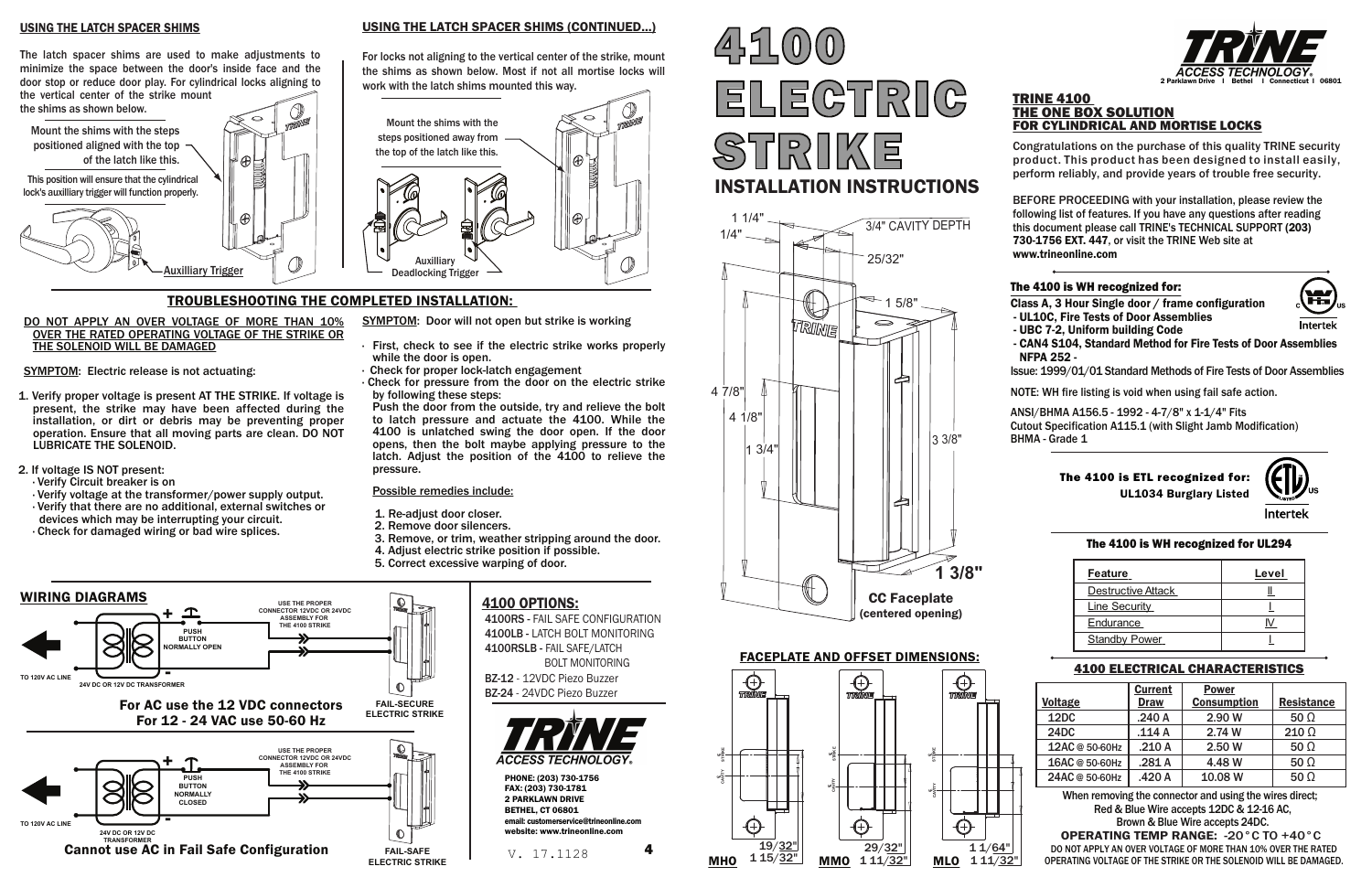#### TRINE 4100 THE ONE BOX SOLUTION FOR CYLINDRICAL AND MORTISE LOCKS

Congratulations on the purchase of this quality TRINE security product. This product has been designed to install easily, perform reliably, and provide years of trouble free security.

# $45100$ ELECTRIC STRIKE INSTALLATION INSTRUCTIONS

BEFORE PROCEEDING with your installation, please review the following list of features. If you have any questions after reading this document please call TRINE's TECHNICAL SUPPORT (203) 730-1756 EXT. 447, or visit the TRINE Web site at www.trineonline.com

## The 4100 is WH recognized for:



Class A, 3 Hour Single door / frame configuration

- UL10C, Fire Tests of Door Assemblies
- UBC 7-2, Uniform building Code
- CAN4 S104, Standard Method for Fire Tests of Door Assemblies NFPA 252 -

Issue: 1999/01/01 Standard Methods of Fire Tests of Door Assemblies

NOTE: WH fire listing is void when using fail safe action.

ANSI/BHMA A156.5 - 1992 - 4-7/8" x 1-1/4" Fits Cutout Specification A115.1 (with Slight Jamb Modification) BHMA - Grade 1

- SYMPTOM: Door will not open but strike is working
- First, check to see if the electric strike works properly while the door is open.
- · Check for proper lock-latch engagement
- · Check for pressure from the door on the electric strike by following these steps:

#### TROUBLESHOOTING THE COMPLETED INSTALLATION:

#### DO NOT APPLY AN OVER VOLTAGE OF MORE THAN 10% OVER THE RATED OPERATING VOLTAGE OF THE STRIKE OR THE SOLENOID WILL BE DAMAGED

SYMPTOM: Electric release is not actuating:

- 1. Verify proper voltage is present AT THE STRIKE. If voltage is present, the strike may have been affected during the installation, or dirt or debris may be preventing proper operation. Ensure that all moving parts are clean. DO NOT LUBRICATE THE SOLENOID.
- 2. If voltage IS NOT present:
	-
- · Verify Circuit breaker is on
- · Verify that there are no additional, external switches or
- devices which may be interrupting your circuit.
- · Check for damaged wiring or bad wire splices.



Push the door from the outside, try and relieve the bolt to latch pressure and actuate the 4100. While the 4100 is unlatched swing the door open. If the door opens, then the bolt maybe applying pressure to the latch. Adjust the position of the 4100 to relieve the pressure.

#### Possible remedies include:

- 1. Re-adjust door closer. 2. Remove door silencers.
- 
- 3. Remove, or trim, weather stripping around the door. 4. Adjust electric strike position if possible.
- 
- 5. Correct excessive warping of door.



#### USING THE LATCH SPACER SHIMS (CONTINUED...)

For locks not aligning to the vertical center of the strike, mount the shims as shown below. Most if not all mortise locks will work with the latch shims mounted this way.



## 4100 ELECTRICAL CHARACTERISTICS

|                | <b>Current</b> | <b>Power</b>       |              |
|----------------|----------------|--------------------|--------------|
| <b>Voltage</b> | <b>Draw</b>    | <b>Consumption</b> | Resistance   |
| 12DC           | .240A          | 2.90 W             | 50 $\Omega$  |
| 24DC           | .114 A         | 2.74 W             | $210 \Omega$ |
| 12AC @ 50-60Hz | .210A          | 2.50 W             | $50 \Omega$  |
| 16AC @ 50-60Hz | .281A          | 4.48 W             | 50 $\Omega$  |
| 24AC @ 50-60Hz | .420 A         | 10.08 W            | 50 $\Omega$  |

#### USING THE LATCH SPACER SHIMS



The latch spacer shims are used to make adjustments to minimize the space between the door's inside face and the door stop or reduce door play. For cylindrical locks aligning to the vertical center of the strike mount

the shims as shown below.

When removing the connector and using the wires direct; Red & Blue Wire accepts 12DC & 12-16 AC, Brown & Blue Wire accepts 24DC.

**OPERATING TEMP RANGE: -20 °C TO +40 °C**<br>DO NOT APPLY AN OVER VOLTAGE OF MORE THAN 10% OVER THE RATED  $\rm V.~~$   $17$  ,  $1128$   $\rm H$   $\rm O}$   $\rm M$   $\rm H$   $\rm O}$   $\rm M$   $\rm M$   $\rm O$   $\rm M$   $\rm M$  $\rm O$   $\rm M$  $\rm M$  $\rm O}$   $\rm H$   $\rm M$  $\rm M$  $\rm O}$   $\rm H$  $\rm M$  $\rm M$  $\rm O}$   $\rm H$  $\rm M$  $\rm M$  $\rm O}$   $\rm H$  $\rm M$  $\rm M$  $\rm O}$   $\rm H$  $\rm H$  $\rm M$  $\rm O}$   $\rm H$ 











#### FACEPLATE AND OFFSET DIMENSIONS:



## 4100 OPTIONS:

4100RS - FAIL SAFE CONFIGURATION 4100LB - LATCH BOLT MONITORING 4100RSLB - FAIL SAFE/LATCH BOLT MONITORING

 BZ-12 - 12VDC Piezo Buzzer BZ-24 - 24VDC Piezo Buzzer



| <b>Feature</b>            | Level |
|---------------------------|-------|
| <b>Destructive Attack</b> |       |
| <b>Line Security</b>      |       |
| <b>Endurance</b>          |       |
| <b>Standby Power</b>      |       |

UL1034 Burglary Listed The 4100 is ETL recognized for: